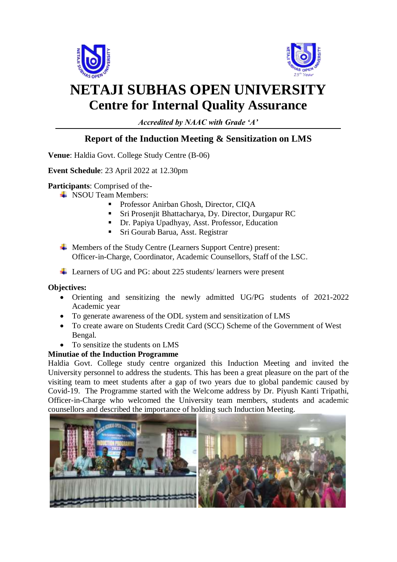



## **NETAJI SUBHAS OPEN UNIVERSITY Centre for Internal Quality Assurance**

*Accredited by NAAC with Grade 'A'*

## **Report of the Induction Meeting & Sensitization on LMS**

**Venue**: Haldia Govt. College Study Centre (B-06)

**Event Schedule**: 23 April 2022 at 12.30pm

**Participants**: Comprised of the-

- $\triangle$  NSOU Team Members:
	- **Professor Anirban Ghosh, Director, CIQA**
	- Sri Prosenjit Bhattacharya, Dy. Director, Durgapur RC
	- Dr. Papiya Upadhyay, Asst. Professor, Education
	- Sri Gourab Barua, Asst. Registrar
- Members of the Study Centre (Learners Support Centre) present: Officer-in-Charge, Coordinator, Academic Counsellors, Staff of the LSC.
- Learners of UG and PG: about 225 students/ learners were present

## **Objectives:**

- Orienting and sensitizing the newly admitted UG/PG students of 2021-2022 Academic year
- To generate awareness of the ODL system and sensitization of LMS
- To create aware on Students Credit Card (SCC) Scheme of the Government of West Bengal.
- To sensitize the students on LMS

## **Minutiae of the Induction Programme**

Haldia Govt. College study centre organized this Induction Meeting and invited the University personnel to address the students. This has been a great pleasure on the part of the visiting team to meet students after a gap of two years due to global pandemic caused by Covid-19. The Programme started with the Welcome address by Dr. Piyush Kanti Tripathi, Officer-in-Charge who welcomed the University team members, students and academic counsellors and described the importance of holding such Induction Meeting.